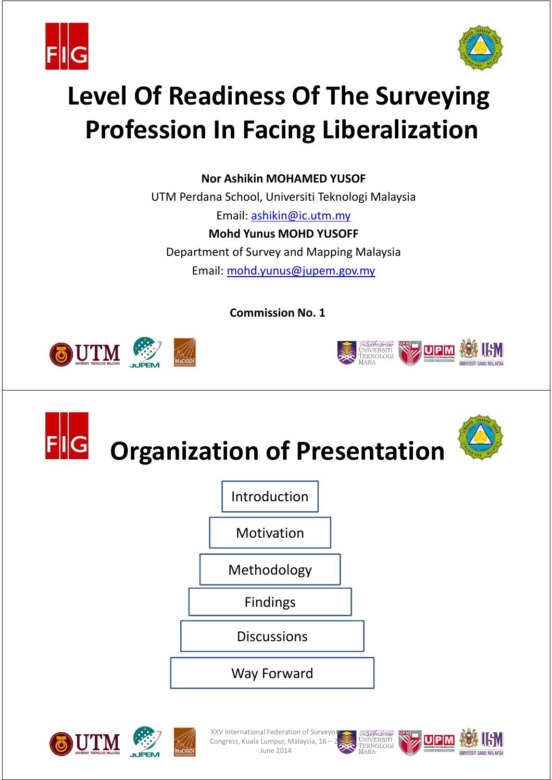



# **Level Of Readiness Of The Surveying Profession In Facing Liberalization**

**Nor Ashikin MOHAMED YUSOF**

UTM Perdana School, Universiti Teknologi Malaysia Email: ashikin@ic.utm.my **Mohd Yunus MOHD YUSOFF** Department of Survey and Mapping Malaysia Email: mohd.yunus@jupem.gov.my

**Commission No. 1**











XXV International Federation of Surveyo Congress, Kuala Lumpur, Malaysia, 16 -June 2014



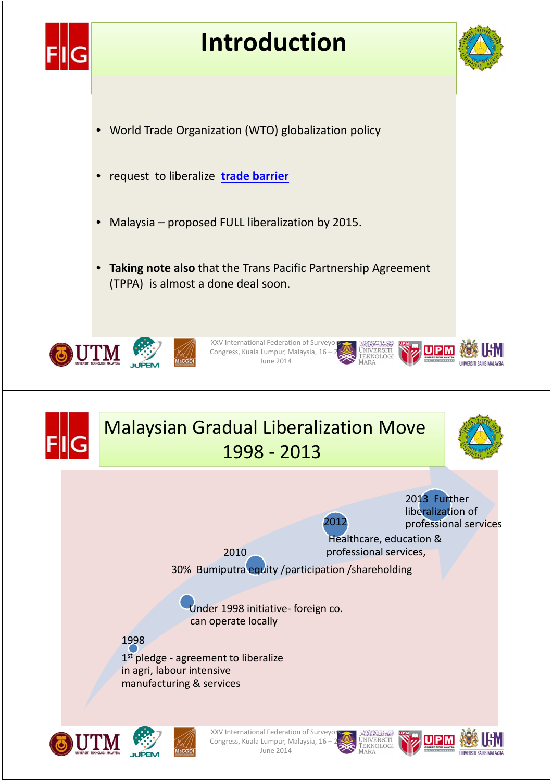





**#**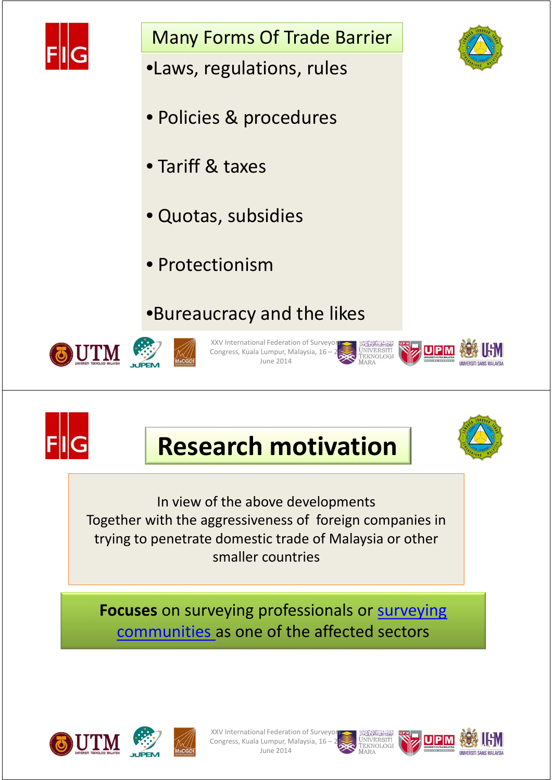

Many Forms Of Trade Barrier

- •Laws, regulations, rules
- Policies & procedures
- Tariff & taxes
- Quotas, subsidies
- Protectionism

### •Bureaucracy and the likes





XXV International Federation of Surveyo Congress, Kuala Lumpur, Malaysia, 16 – June 2014





**UPM** 







In view of the above developments Together with the aggressiveness of foreign companies in trying to penetrate domestic trade of Malaysia or other smaller countries

**Focuses** on surveying professionals or surveying communities as one of the affected sectors





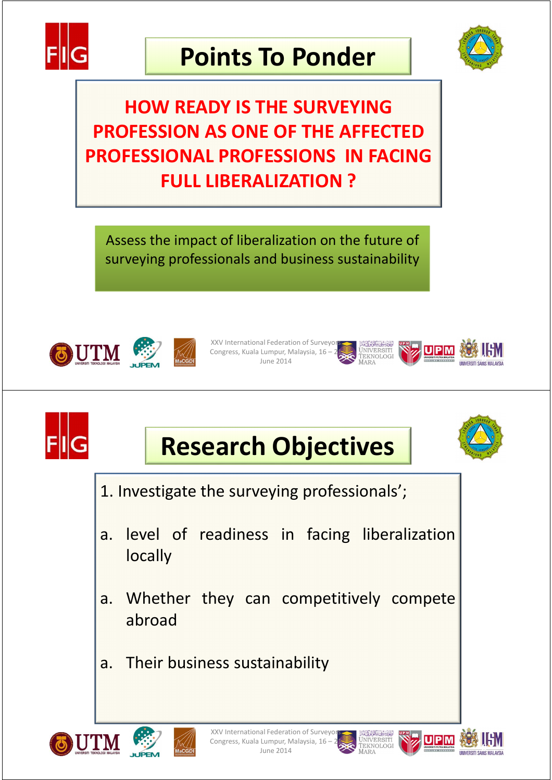

## **Points To Ponder**



**#**

### **HOW READY IS THE SURVEYING PROFESSION AS ONE OF THE AFFECTED PROFESSIONAL PROFESSIONS IN FACING FULL LIBERALIZATION ?**

Assess the impact of liberalization on the future of surveying professionals and business sustainability





XXV International Federation of Surveyor Congress, Kuala Lumpur, Malaysia, 16 – 21 June 2014



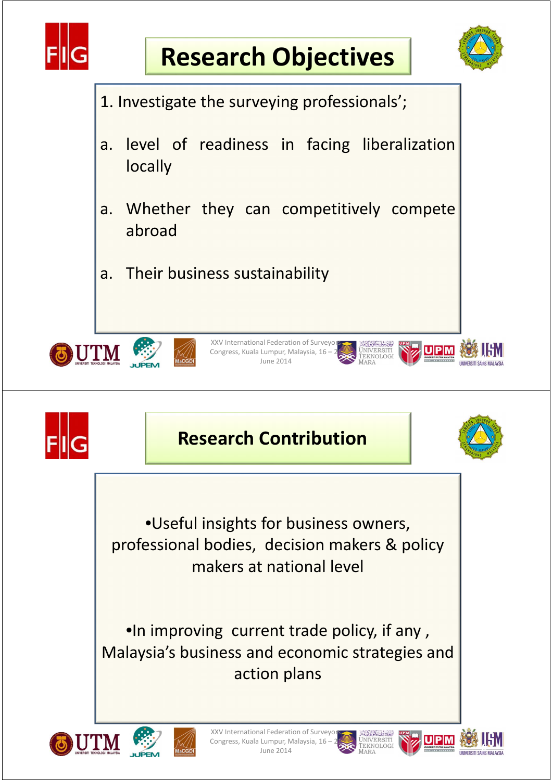





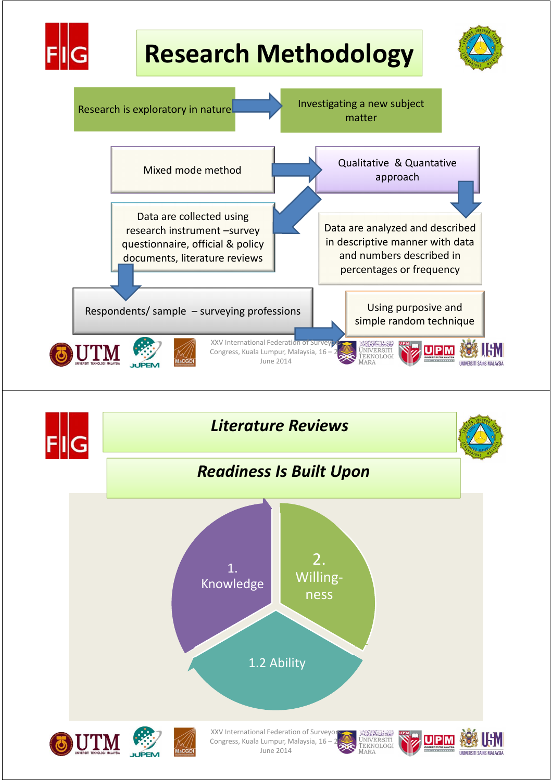



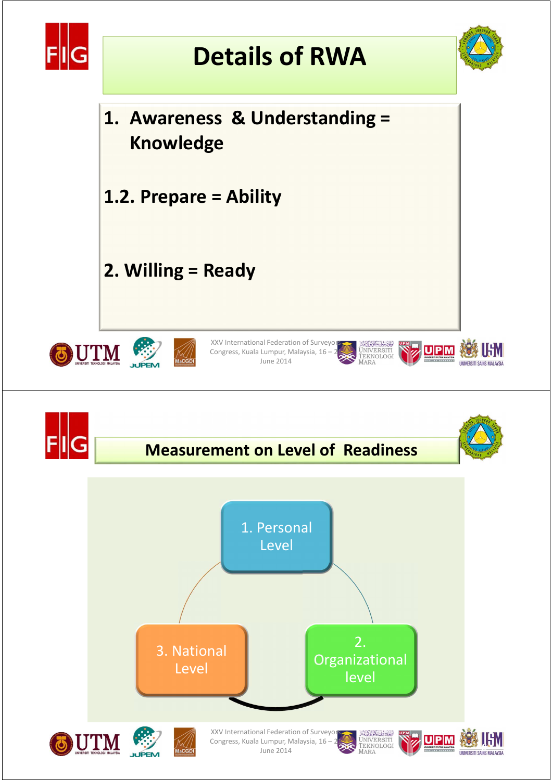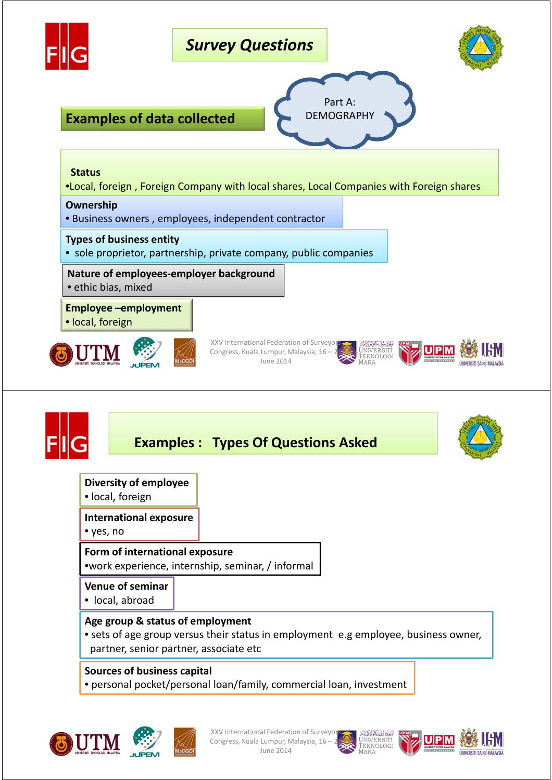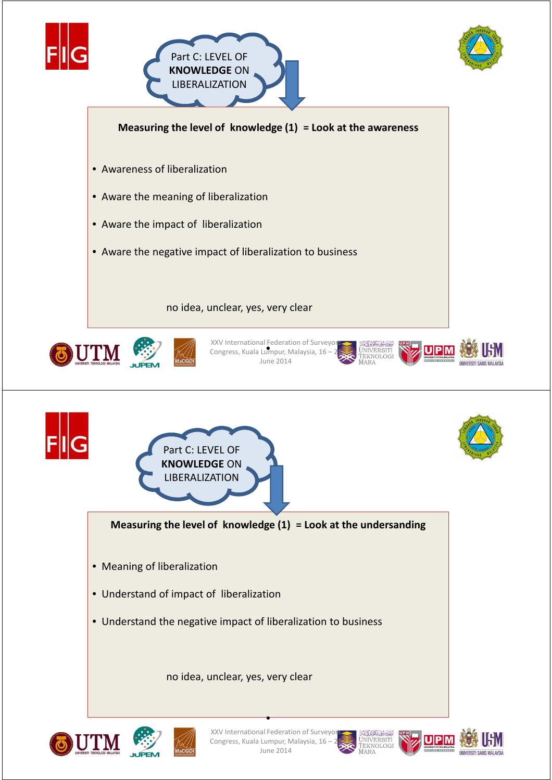







• Aware the impact of liberalization

• Aware the negative impact of liberalization to business

no idea, unclear, yes, very clear





XXV International Federation of Surveyors.<br>Congress, Kuala Lumpur, Malaysia, 16 – 21 Congress, Kuala Lumpur, Malaysia,  $16 - 21$ June 2014





*<u>INIVERSITI SAINS MALAYSE</u>* 



June 2014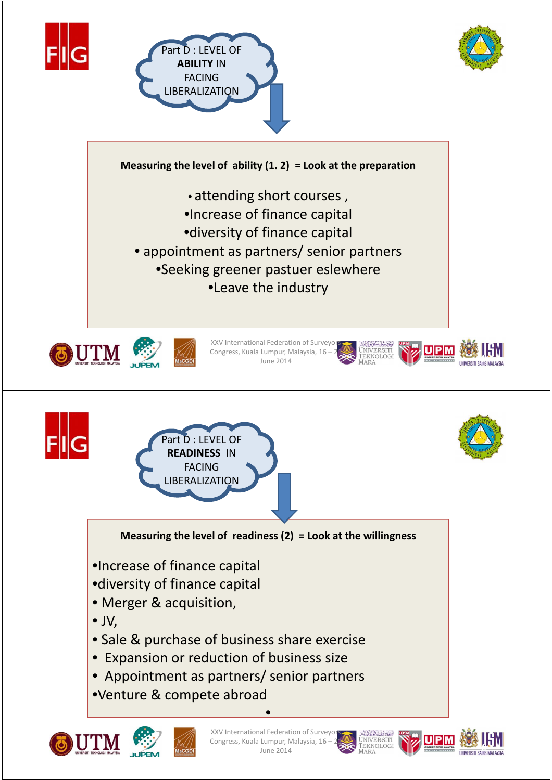



**Measuring the level of ability (1. 2) = Look at the preparation** 

**FVFL OF** 

**ABILITY** IN FACING LIBERALIZATION

- attending short courses ,
- •Increase of finance capital
- •diversity of finance capital
- appointment as partners/ senior partners
	- •Seeking greener pastuer eslewhere

•Leave the industry





XXV International Federation of Surveyor Congress, Kuala Lumpur, Malaysia, 16 – 21 June 2014





**#**

**Measuring the level of readiness (2) = Look at the willingness** 

•Increase of finance capital

art D : LEVEL OF **READINESS** IN FACING LIBERALIZATION

- •diversity of finance capital
- Merger & acquisition,
- JV,
- Sale & purchase of business share exercise
- Expansion or reduction of business size
- Appointment as partners/ senior partners
- •Venture & compete abroad



XXV International Federation of Surveyo Congress, Kuala Lumpur, Malaysia, 16 -June 2014

•



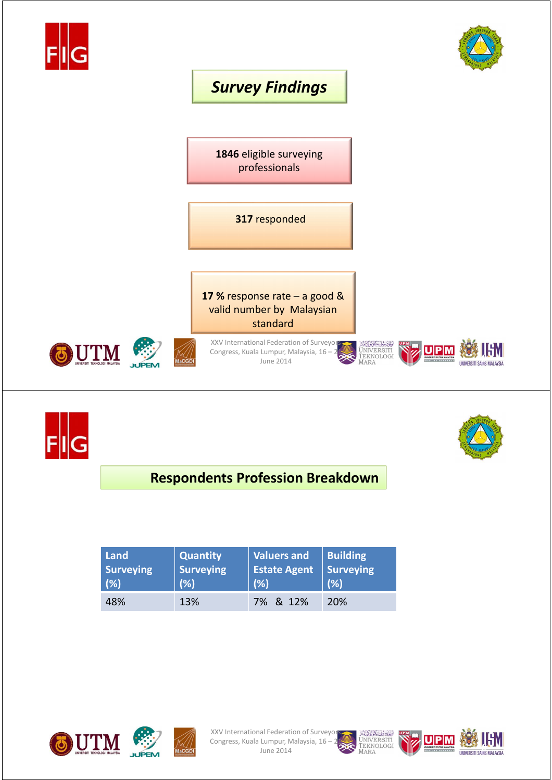





#### **Respondents Profession Breakdown**

| Land             | <b>Quantity</b> | <b>Valuers and</b> | Building   |
|------------------|-----------------|--------------------|------------|
| <b>Surveying</b> | Surveying       | Estate Agent       | Surveying  |
| (%)              | (%)             | (%)                | (% )       |
| 48%              | 13%             | 7% & 12%           | <b>20%</b> |







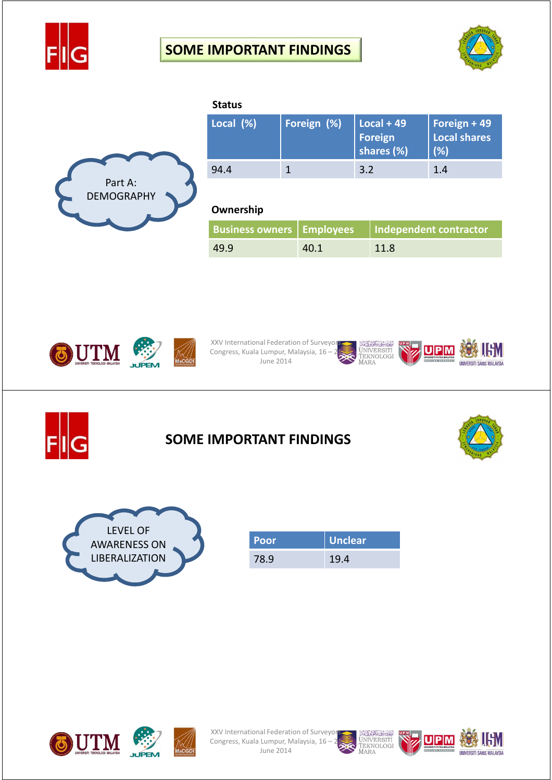





| <b>Status</b> |             |                                       |                                     |
|---------------|-------------|---------------------------------------|-------------------------------------|
| Local (%)     | Foreign (%) | $Local + 49$<br>Foreign<br>shares (%) | Foreign + 49<br>Local shares<br>(%) |
| 94.4          |             | 3.2                                   | 1.4                                 |
|               |             |                                       |                                     |

#### **Ownership**

|      |      | Business owners   Employees   Independent contractor |
|------|------|------------------------------------------------------|
| 49.9 | 40.1 | 11.8                                                 |





XXV International Federation of Surveyors XXV International rederation of January 2013<br>Congress, Kuala Lumpur, Malaysia, 16 – 21 June 2014





#### **SOME IMPORTANT FINDINGS**





| l Poor' | <b>Unclear</b> |
|---------|----------------|
| 78.9    | 19.4           |



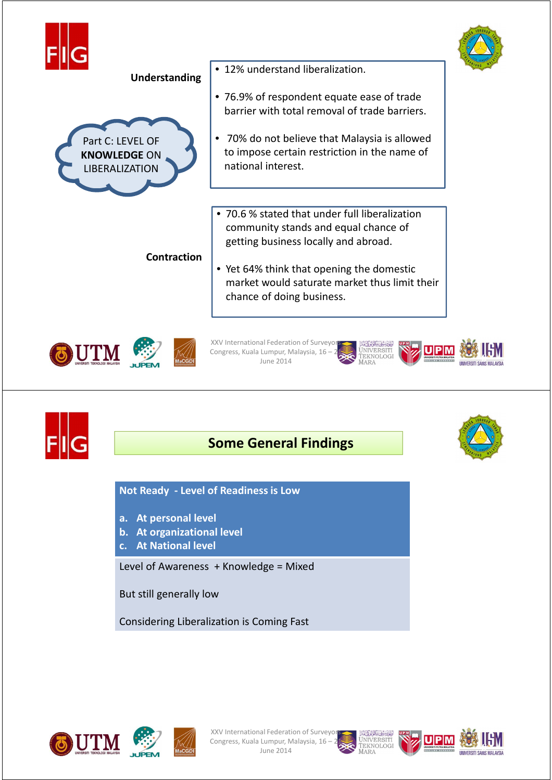

Considering Liberalization is Coming Fast







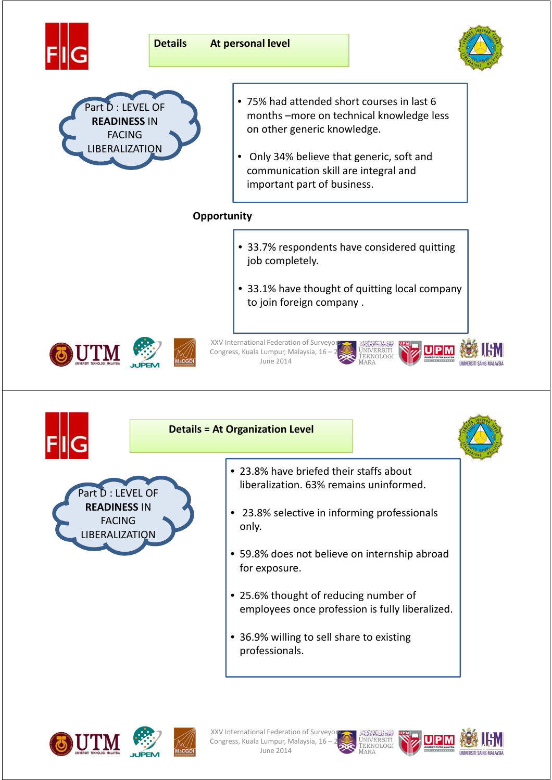



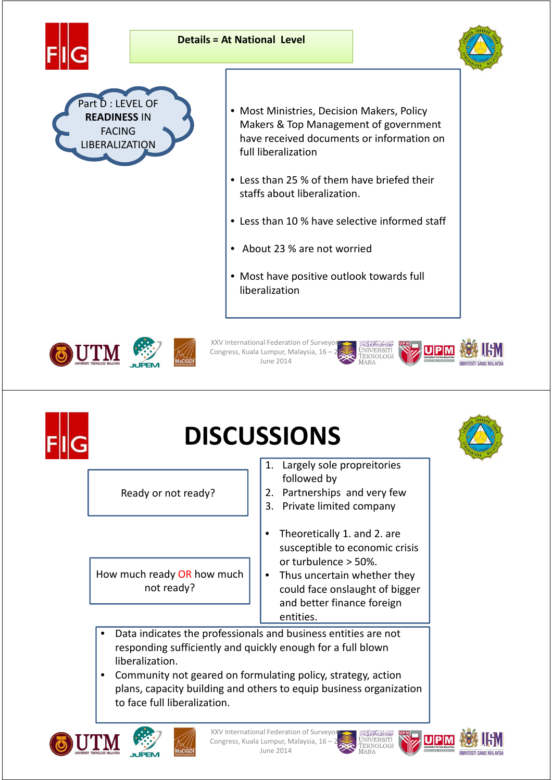





- Most Ministries, Decision Makers, Policy Makers & Top Management of government have received documents or information on full liberalization
- Less than 25 % of them have briefed their staffs about liberalization.
- Less than 10 % have selective informed staff
- About 23 % are not worried
- Most have positive outlook towards full liberalization

JNIVERSITI<br>Teknologi





XXV International Federation of Surveyor Congress, Kuala Lumpur, Malaysia, 16 – 21 June 2014



## **DISCUSSIONS**

Ready or not ready?

How much ready OR how much not ready?

- 1. Largely sole propreitories followed by
- 2. Partnerships and very few
- 3. Private limited company
- Theoretically 1. and 2. are susceptible to economic crisis or turbulence > 50%.
- Thus uncertain whether they could face onslaught of bigger and better finance foreign entities.
- Data indicates the professionals and business entities are not responding sufficiently and quickly enough for a full blown liberalization.
- Community not geared on formulating policy, strategy, action plans, capacity building and others to equip business organization to face full liberalization.





XXV International Federation of Surveyo Congress, Kuala Lumpur, Malaysia, 16 -June 2014







**#**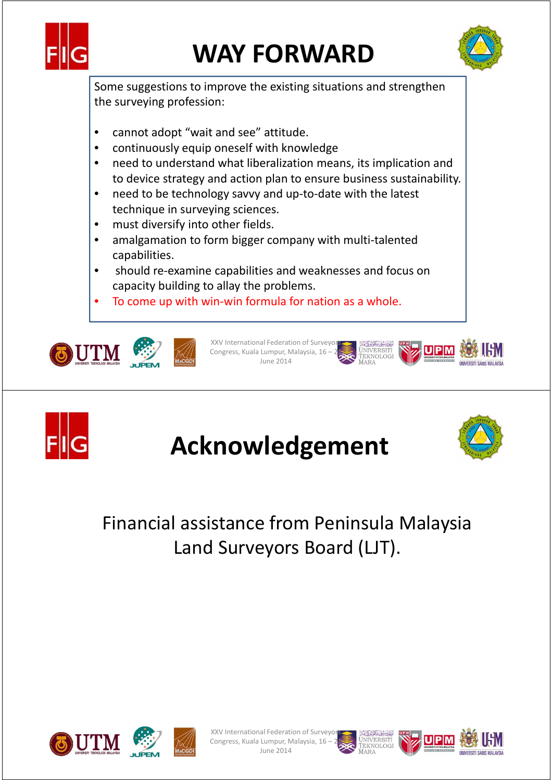

# **WAY FORWARD**



Some suggestions to improve the existing situations and strengthen the surveying profession:

- cannot adopt "wait and see" attitude.
- continuously equip oneself with knowledge
- need to understand what liberalization means, its implication and to device strategy and action plan to ensure business sustainability.
- need to be technology savvy and up-to-date with the latest technique in surveying sciences.
- must diversify into other fields.
- amalgamation to form bigger company with multi-talented capabilities.
- should re-examine capabilities and weaknesses and focus on capacity building to allay the problems.
- To come up with win-win formula for nation as a whole.





XXV International Federation of Surveyor Congress, Kuala Lumpur, Malaysia, 16 – 21 June 2014





## **Acknowledgement**



**#**

### Financial assistance from Peninsula Malaysia Land Surveyors Board (LJT).